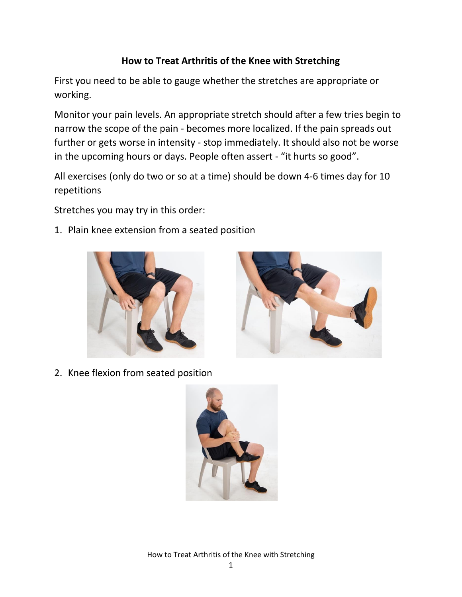## **How to Treat Arthritis of the Knee with Stretching**

First you need to be able to gauge whether the stretches are appropriate or working.

Monitor your pain levels. An appropriate stretch should after a few tries begin to narrow the scope of the pain - becomes more localized. If the pain spreads out further or gets worse in intensity - stop immediately. It should also not be worse in the upcoming hours or days. People often assert - "it hurts so good".

All exercises (only do two or so at a time) should be down 4-6 times day for 10 repetitions

Stretches you may try in this order:

1. Plain knee extension from a seated position





2. Knee flexion from seated position



How to Treat Arthritis of the Knee with Stretching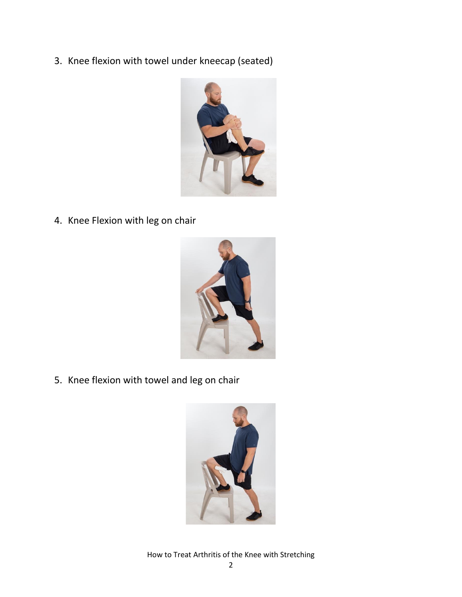3. Knee flexion with towel under kneecap (seated)



4. Knee Flexion with leg on chair



5. Knee flexion with towel and leg on chair



How to Treat Arthritis of the Knee with Stretching